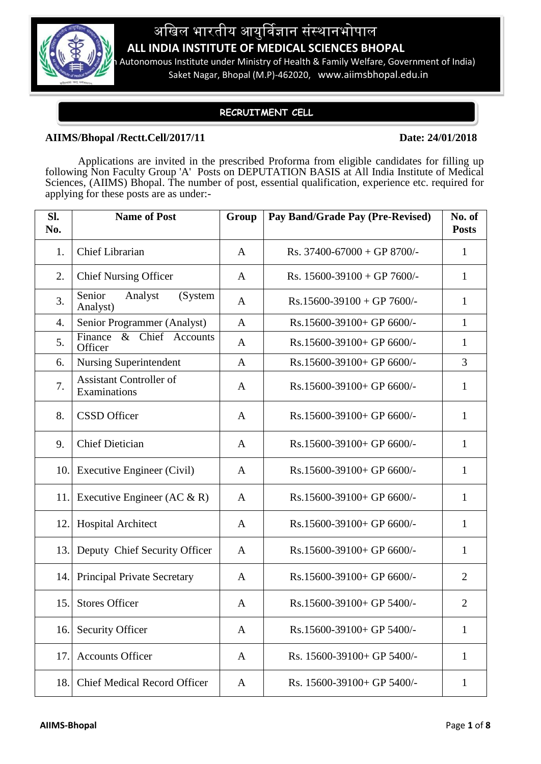

# अखिल भारतीय आयुर्विज्ञान संस्थानभोपाल **ALL INDIA INSTITUTE OF MEDICAL SCIENCES BHOPAL**

Autonomous Institute under Ministry of Health & Family Welfare, Government of India) Saket Nagar, Bhopal (M.P)-462020, www.aiimsbhopal.edu.in

## **RECRUITMENT CELL**

### **AIIMS/Bhopal /Rectt.Cell/2017/11 Date: 24/01/2018**

Applications are invited in the prescribed Proforma from eligible candidates for filling up following Non Faculty Group 'A' Posts on DEPUTATION BASIS at All India Institute of Medical Sciences, (AIIMS) Bhopal. The number of post, essential qualification, experience etc. required for applying for these posts are as under:-

| Sl.<br>No. | <b>Name of Post</b>                            | Group        | Pay Band/Grade Pay (Pre-Revised) | No. of<br><b>Posts</b> |
|------------|------------------------------------------------|--------------|----------------------------------|------------------------|
| 1.         | <b>Chief Librarian</b>                         | A            | Rs. $37400 - 67000 + GP 8700/$   | 1                      |
| 2.         | <b>Chief Nursing Officer</b>                   | A            | Rs. $15600 - 39100 + GP$ 7600/-  | $\mathbf{1}$           |
| 3.         | Senior<br>Analyst<br>(System<br>Analyst)       | A            | $Rs.15600-39100 + GP 7600/$ -    | 1                      |
| 4.         | Senior Programmer (Analyst)                    | $\mathbf{A}$ | Rs.15600-39100+ GP 6600/-        | 1                      |
| 5.         | & Chief Accounts<br>Finance<br>Officer         | A            | Rs.15600-39100+ GP 6600/-        | 1                      |
| 6.         | <b>Nursing Superintendent</b>                  | A            | Rs.15600-39100+ GP 6600/-        | 3                      |
| 7.         | <b>Assistant Controller of</b><br>Examinations | A            | Rs.15600-39100+ GP 6600/-        | $\mathbf{1}$           |
| 8.         | <b>CSSD</b> Officer                            | A            | Rs.15600-39100+ GP 6600/-        | 1                      |
| 9.         | <b>Chief Dietician</b>                         | A            | Rs.15600-39100+ GP 6600/-        | 1                      |
| 10.        | Executive Engineer (Civil)                     | A            | Rs.15600-39100+ GP 6600/-        | 1                      |
| 11.        | Executive Engineer (AC $\&$ R)                 | A            | Rs.15600-39100+ GP 6600/-        | 1                      |
| 12.        | <b>Hospital Architect</b>                      | A            | Rs.15600-39100+ GP 6600/-        | $\mathbf{1}$           |
| 13.        | Deputy Chief Security Officer                  | A            | Rs.15600-39100+ GP 6600/-        | 1                      |
| 14.        | <b>Principal Private Secretary</b>             | A            | Rs.15600-39100+ GP 6600/-        | $\overline{2}$         |
| 15.        | <b>Stores Officer</b>                          | A            | Rs.15600-39100+ GP 5400/-        | $\overline{2}$         |
| 16.        | <b>Security Officer</b>                        | A            | Rs.15600-39100+ GP 5400/-        | 1                      |
| 17.        | <b>Accounts Officer</b>                        | A            | Rs. 15600-39100+ GP 5400/-       | 1                      |
| 18.        | <b>Chief Medical Record Officer</b>            | A            | Rs. 15600-39100+ GP 5400/-       | $\mathbf 1$            |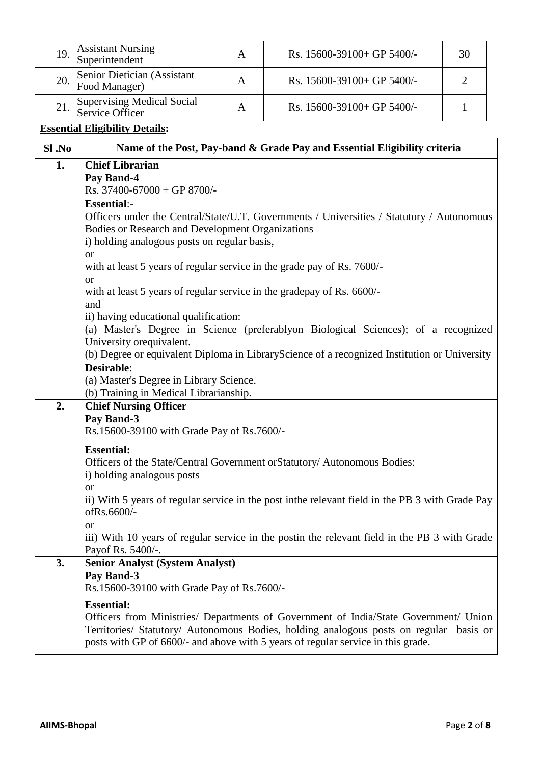|           | <b>Assistant Nursing</b>                                                                                                                                                                                                                                                                                                                                                                |              |                                                                                                                                                                                                                                                                                |                |
|-----------|-----------------------------------------------------------------------------------------------------------------------------------------------------------------------------------------------------------------------------------------------------------------------------------------------------------------------------------------------------------------------------------------|--------------|--------------------------------------------------------------------------------------------------------------------------------------------------------------------------------------------------------------------------------------------------------------------------------|----------------|
| 19.       | Superintendent                                                                                                                                                                                                                                                                                                                                                                          | $\mathbf{A}$ | Rs. 15600-39100+ GP 5400/-                                                                                                                                                                                                                                                     | 30             |
| 20.       | Senior Dietician (Assistant<br>Food Manager)                                                                                                                                                                                                                                                                                                                                            | $\mathbf{A}$ | Rs. 15600-39100+ GP 5400/-                                                                                                                                                                                                                                                     | $\overline{2}$ |
| 21.       | <b>Supervising Medical Social</b><br>Service Officer                                                                                                                                                                                                                                                                                                                                    | $\mathbf{A}$ | Rs. 15600-39100+ GP 5400/-                                                                                                                                                                                                                                                     | 1              |
|           | <b>Essential Eligibility Details:</b>                                                                                                                                                                                                                                                                                                                                                   |              |                                                                                                                                                                                                                                                                                |                |
| $SI$ . No | Name of the Post, Pay-band & Grade Pay and Essential Eligibility criteria                                                                                                                                                                                                                                                                                                               |              |                                                                                                                                                                                                                                                                                |                |
| 1.        | <b>Chief Librarian</b><br>Pay Band-4<br>Rs. 37400-67000 + GP 8700/-<br><b>Essential:-</b><br>Bodies or Research and Development Organizations<br>i) holding analogous posts on regular basis,<br><sub>or</sub><br>with at least 5 years of regular service in the grade pay of Rs. 7600/-<br><b>or</b><br>with at least 5 years of regular service in the gradepay of Rs. 6600/-<br>and |              | Officers under the Central/State/U.T. Governments / Universities / Statutory / Autonomous                                                                                                                                                                                      |                |
|           | ii) having educational qualification:<br>University or equivalent.<br>Desirable:<br>(a) Master's Degree in Library Science.<br>(b) Training in Medical Librarianship.                                                                                                                                                                                                                   |              | (a) Master's Degree in Science (preferablyon Biological Sciences); of a recognized<br>(b) Degree or equivalent Diploma in LibraryScience of a recognized Institution or University                                                                                             |                |
| 2.        | <b>Chief Nursing Officer</b><br>Pay Band-3<br>Rs.15600-39100 with Grade Pay of Rs.7600/-<br><b>Essential:</b><br>i) holding analogous posts<br><b>or</b><br>ofRs.6600/-<br><b>or</b><br>Payof Rs. 5400/-.                                                                                                                                                                               |              | Officers of the State/Central Government or Statutory/ Autonomous Bodies:<br>ii) With 5 years of regular service in the post in the relevant field in the PB 3 with Grade Pay<br>iii) With 10 years of regular service in the postin the relevant field in the PB 3 with Grade |                |
| 3.        | <b>Senior Analyst (System Analyst)</b><br>Pay Band-3<br>Rs.15600-39100 with Grade Pay of Rs.7600/-<br><b>Essential:</b>                                                                                                                                                                                                                                                                 |              | Officers from Ministries/ Departments of Government of India/State Government/ Union<br>Territories/ Statutory/ Autonomous Bodies, holding analogous posts on regular basis or<br>posts with GP of 6600/- and above with 5 years of regular service in this grade.             |                |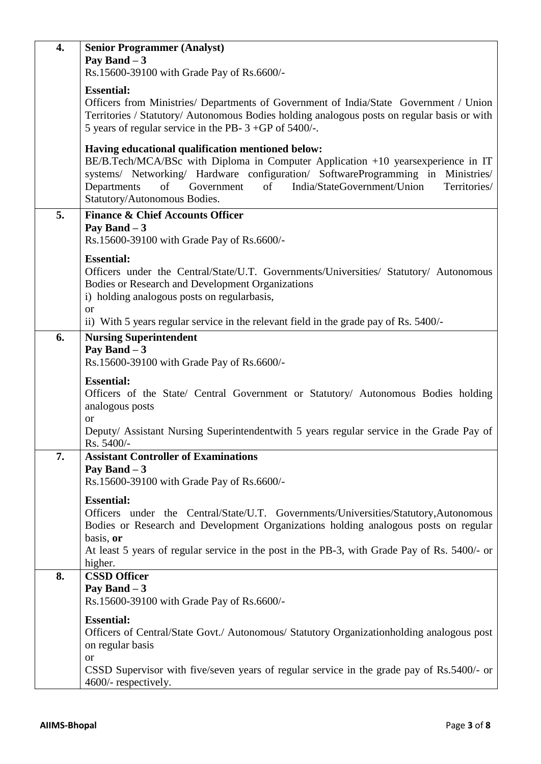| 4. | <b>Senior Programmer (Analyst)</b>                                                                                                                                      |
|----|-------------------------------------------------------------------------------------------------------------------------------------------------------------------------|
|    | Pay Band $-3$                                                                                                                                                           |
|    | Rs.15600-39100 with Grade Pay of Rs.6600/-                                                                                                                              |
|    | <b>Essential:</b>                                                                                                                                                       |
|    | Officers from Ministries/ Departments of Government of India/State Government / Union                                                                                   |
|    | Territories / Statutory/ Autonomous Bodies holding analogous posts on regular basis or with                                                                             |
|    | 5 years of regular service in the PB- $3 + GP$ of 5400/-.                                                                                                               |
|    |                                                                                                                                                                         |
|    | Having educational qualification mentioned below:                                                                                                                       |
|    | BE/B.Tech/MCA/BSc with Diploma in Computer Application +10 yearsexperience in IT                                                                                        |
|    | systems/ Networking/ Hardware configuration/ SoftwareProgramming in Ministries/<br>India/StateGovernment/Union<br>Territories/<br>Departments<br>of<br>Government<br>of |
|    | Statutory/Autonomous Bodies.                                                                                                                                            |
|    |                                                                                                                                                                         |
| 5. | <b>Finance &amp; Chief Accounts Officer</b>                                                                                                                             |
|    | Pay Band $-3$<br>Rs.15600-39100 with Grade Pay of Rs.6600/-                                                                                                             |
|    |                                                                                                                                                                         |
|    | <b>Essential:</b>                                                                                                                                                       |
|    | Officers under the Central/State/U.T. Governments/Universities/ Statutory/ Autonomous                                                                                   |
|    | Bodies or Research and Development Organizations                                                                                                                        |
|    | i) holding analogous posts on regularbasis,                                                                                                                             |
|    | <b>or</b><br>ii) With 5 years regular service in the relevant field in the grade pay of Rs. 5400/-                                                                      |
|    |                                                                                                                                                                         |
| 6. | <b>Nursing Superintendent</b><br>Pay Band $-3$                                                                                                                          |
|    | Rs.15600-39100 with Grade Pay of Rs.6600/-                                                                                                                              |
|    |                                                                                                                                                                         |
|    | <b>Essential:</b>                                                                                                                                                       |
|    | Officers of the State/ Central Government or Statutory/ Autonomous Bodies holding                                                                                       |
|    | analogous posts<br><b>or</b>                                                                                                                                            |
|    | Deputy/ Assistant Nursing Superintendentwith 5 years regular service in the Grade Pay of                                                                                |
|    | Rs. 5400/-                                                                                                                                                              |
| 7. | <b>Assistant Controller of Examinations</b>                                                                                                                             |
|    | Pay Band $-3$                                                                                                                                                           |
|    | Rs.15600-39100 with Grade Pay of Rs.6600/-                                                                                                                              |
|    | <b>Essential:</b>                                                                                                                                                       |
|    | Officers under the Central/State/U.T. Governments/Universities/Statutory,Autonomous                                                                                     |
|    | Bodies or Research and Development Organizations holding analogous posts on regular                                                                                     |
|    | basis, or                                                                                                                                                               |
|    | At least 5 years of regular service in the post in the PB-3, with Grade Pay of Rs. 5400/- or                                                                            |
|    | higher.                                                                                                                                                                 |
| 8. | <b>CSSD Officer</b>                                                                                                                                                     |
|    | Pay Band $-3$                                                                                                                                                           |
|    | Rs.15600-39100 with Grade Pay of Rs.6600/-                                                                                                                              |
|    | <b>Essential:</b>                                                                                                                                                       |
|    | Officers of Central/State Govt./ Autonomous/ Statutory Organizationholding analogous post                                                                               |
|    | on regular basis                                                                                                                                                        |
|    | <b>or</b>                                                                                                                                                               |
|    | CSSD Supervisor with five/seven years of regular service in the grade pay of Rs.5400/- or<br>4600/- respectively.                                                       |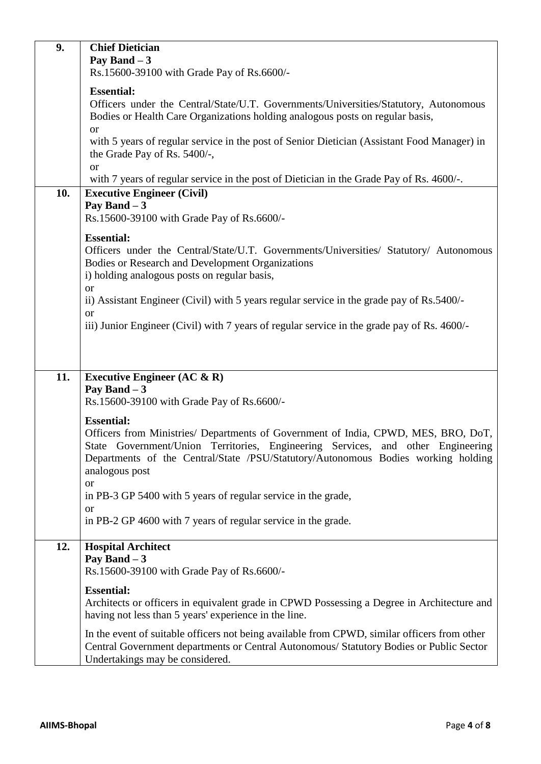| 9.  | <b>Chief Dietician</b>                                                                       |  |
|-----|----------------------------------------------------------------------------------------------|--|
|     | Pay Band $-3$                                                                                |  |
|     | Rs.15600-39100 with Grade Pay of Rs.6600/-                                                   |  |
|     | <b>Essential:</b>                                                                            |  |
|     | Officers under the Central/State/U.T. Governments/Universities/Statutory, Autonomous         |  |
|     | Bodies or Health Care Organizations holding analogous posts on regular basis,                |  |
|     | <b>or</b>                                                                                    |  |
|     | with 5 years of regular service in the post of Senior Dietician (Assistant Food Manager) in  |  |
|     | the Grade Pay of Rs. 5400/-,                                                                 |  |
|     | <b>or</b>                                                                                    |  |
|     | with 7 years of regular service in the post of Dietician in the Grade Pay of Rs. 4600/-.     |  |
| 10. | <b>Executive Engineer (Civil)</b>                                                            |  |
|     | Pay Band $-3$                                                                                |  |
|     | Rs.15600-39100 with Grade Pay of Rs.6600/-                                                   |  |
|     |                                                                                              |  |
|     | <b>Essential:</b>                                                                            |  |
|     | Officers under the Central/State/U.T. Governments/Universities/ Statutory/ Autonomous        |  |
|     | Bodies or Research and Development Organizations                                             |  |
|     | i) holding analogous posts on regular basis,                                                 |  |
|     | <sub>or</sub>                                                                                |  |
|     | ii) Assistant Engineer (Civil) with 5 years regular service in the grade pay of Rs.5400/-    |  |
|     | <b>or</b>                                                                                    |  |
|     | iii) Junior Engineer (Civil) with 7 years of regular service in the grade pay of Rs. 4600/-  |  |
|     |                                                                                              |  |
|     |                                                                                              |  |
|     |                                                                                              |  |
| 11. | Executive Engineer $(AC & R)$                                                                |  |
|     | Pay Band $-3$                                                                                |  |
|     | Rs.15600-39100 with Grade Pay of Rs.6600/-                                                   |  |
|     | <b>Essential:</b>                                                                            |  |
|     | Officers from Ministries/ Departments of Government of India, CPWD, MES, BRO, DoT,           |  |
|     | State Government/Union Territories, Engineering Services, and other Engineering              |  |
|     | Departments of the Central/State /PSU/Statutory/Autonomous Bodies working holding            |  |
|     | analogous post                                                                               |  |
|     | <b>or</b>                                                                                    |  |
|     | in PB-3 GP 5400 with 5 years of regular service in the grade,                                |  |
|     | <b>or</b>                                                                                    |  |
|     | in PB-2 GP 4600 with 7 years of regular service in the grade.                                |  |
|     |                                                                                              |  |
| 12. | <b>Hospital Architect</b>                                                                    |  |
|     | Pay Band $-3$                                                                                |  |
|     | Rs.15600-39100 with Grade Pay of Rs.6600/-                                                   |  |
|     | <b>Essential:</b>                                                                            |  |
|     | Architects or officers in equivalent grade in CPWD Possessing a Degree in Architecture and   |  |
|     | having not less than 5 years' experience in the line.                                        |  |
|     |                                                                                              |  |
|     | In the event of suitable officers not being available from CPWD, similar officers from other |  |
|     | Central Government departments or Central Autonomous/ Statutory Bodies or Public Sector      |  |
|     | Undertakings may be considered.                                                              |  |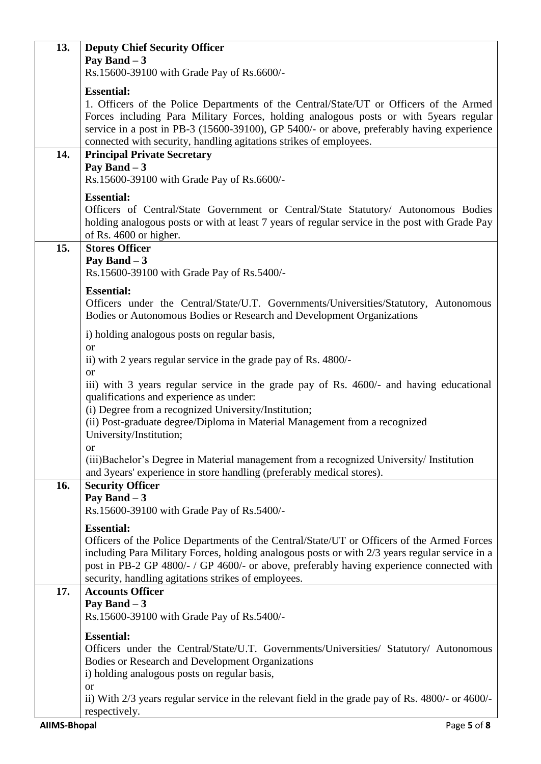| 13.                 | <b>Deputy Chief Security Officer</b>                                                                                                                                            |
|---------------------|---------------------------------------------------------------------------------------------------------------------------------------------------------------------------------|
|                     | Pay Band $-3$                                                                                                                                                                   |
|                     | Rs.15600-39100 with Grade Pay of Rs.6600/-                                                                                                                                      |
|                     | <b>Essential:</b>                                                                                                                                                               |
|                     | 1. Officers of the Police Departments of the Central/State/UT or Officers of the Armed<br>Forces including Para Military Forces, holding analogous posts or with 5years regular |
|                     | service in a post in PB-3 (15600-39100), GP 5400/- or above, preferably having experience                                                                                       |
|                     | connected with security, handling agitations strikes of employees.                                                                                                              |
| 14.                 | <b>Principal Private Secretary</b>                                                                                                                                              |
|                     | Pay Band $-3$<br>Rs.15600-39100 with Grade Pay of Rs.6600/-                                                                                                                     |
|                     |                                                                                                                                                                                 |
|                     | <b>Essential:</b><br>Officers of Central/State Government or Central/State Statutory/ Autonomous Bodies                                                                         |
|                     | holding analogous posts or with at least 7 years of regular service in the post with Grade Pay                                                                                  |
|                     | of Rs. 4600 or higher.                                                                                                                                                          |
| 15.                 | <b>Stores Officer</b>                                                                                                                                                           |
|                     | Pay Band $-3$                                                                                                                                                                   |
|                     | Rs.15600-39100 with Grade Pay of Rs.5400/-                                                                                                                                      |
|                     | <b>Essential:</b>                                                                                                                                                               |
|                     | Officers under the Central/State/U.T. Governments/Universities/Statutory, Autonomous<br>Bodies or Autonomous Bodies or Research and Development Organizations                   |
|                     |                                                                                                                                                                                 |
|                     | i) holding analogous posts on regular basis,<br><b>or</b>                                                                                                                       |
|                     | ii) with 2 years regular service in the grade pay of Rs. 4800/-                                                                                                                 |
|                     | <b>or</b>                                                                                                                                                                       |
|                     | iii) with 3 years regular service in the grade pay of Rs. 4600/- and having educational                                                                                         |
|                     | qualifications and experience as under:                                                                                                                                         |
|                     | (i) Degree from a recognized University/Institution;<br>(ii) Post-graduate degree/Diploma in Material Management from a recognized                                              |
|                     | University/Institution;                                                                                                                                                         |
|                     | $\alpha$                                                                                                                                                                        |
|                     | (iii) Bachelor's Degree in Material management from a recognized University/ Institution                                                                                        |
| 16.                 | and 3years' experience in store handling (preferably medical stores).<br><b>Security Officer</b>                                                                                |
|                     | Pay Band $-3$                                                                                                                                                                   |
|                     | Rs.15600-39100 with Grade Pay of Rs.5400/-                                                                                                                                      |
|                     | <b>Essential:</b>                                                                                                                                                               |
|                     | Officers of the Police Departments of the Central/State/UT or Officers of the Armed Forces                                                                                      |
|                     | including Para Military Forces, holding analogous posts or with 2/3 years regular service in a                                                                                  |
|                     | post in PB-2 GP 4800/- / GP 4600/- or above, preferably having experience connected with                                                                                        |
| 17.                 | security, handling agitations strikes of employees.<br><b>Accounts Officer</b>                                                                                                  |
|                     | Pay Band $-3$                                                                                                                                                                   |
|                     | Rs.15600-39100 with Grade Pay of Rs.5400/-                                                                                                                                      |
|                     | <b>Essential:</b>                                                                                                                                                               |
|                     | Officers under the Central/State/U.T. Governments/Universities/ Statutory/ Autonomous                                                                                           |
|                     | Bodies or Research and Development Organizations                                                                                                                                |
|                     | i) holding analogous posts on regular basis,                                                                                                                                    |
|                     | <b>or</b><br>ii) With 2/3 years regular service in the relevant field in the grade pay of Rs. 4800/- or 4600/-                                                                  |
|                     | respectively.                                                                                                                                                                   |
| <b>AIIMS-Bhopal</b> | Page 5 of 8                                                                                                                                                                     |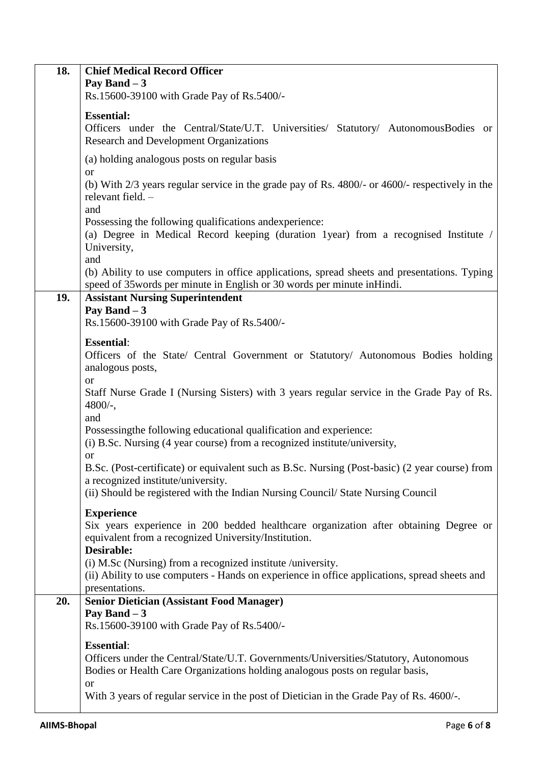| 18. | <b>Chief Medical Record Officer</b><br>Pay Band $-3$<br>Rs.15600-39100 with Grade Pay of Rs.5400/-                                                                                                      |
|-----|---------------------------------------------------------------------------------------------------------------------------------------------------------------------------------------------------------|
|     | <b>Essential:</b><br>Officers under the Central/State/U.T. Universities/ Statutory/ AutonomousBodies or<br><b>Research and Development Organizations</b>                                                |
|     | (a) holding analogous posts on regular basis                                                                                                                                                            |
|     | <b>or</b><br>(b) With 2/3 years regular service in the grade pay of Rs. 4800/- or 4600/- respectively in the<br>relevant field. -<br>and                                                                |
|     | Possessing the following qualifications and experience:<br>(a) Degree in Medical Record keeping (duration 1year) from a recognised Institute /<br>University,<br>and                                    |
|     | (b) Ability to use computers in office applications, spread sheets and presentations. Typing<br>speed of 35words per minute in English or 30 words per minute in Hindi.                                 |
| 19. | <b>Assistant Nursing Superintendent</b><br>Pay Band $-3$                                                                                                                                                |
|     | Rs.15600-39100 with Grade Pay of Rs.5400/-                                                                                                                                                              |
|     | <b>Essential:</b>                                                                                                                                                                                       |
|     | Officers of the State/ Central Government or Statutory/ Autonomous Bodies holding<br>analogous posts,                                                                                                   |
|     | <b>or</b><br>Staff Nurse Grade I (Nursing Sisters) with 3 years regular service in the Grade Pay of Rs.<br>$4800/-$ ,                                                                                   |
|     | and<br>Possessingthe following educational qualification and experience:<br>(i) B.Sc. Nursing (4 year course) from a recognized institute/university,<br><b>or</b>                                      |
|     | B.Sc. (Post-certificate) or equivalent such as B.Sc. Nursing (Post-basic) (2 year course) from<br>a recognized institute/university.                                                                    |
|     | (ii) Should be registered with the Indian Nursing Council/ State Nursing Council                                                                                                                        |
|     | <b>Experience</b><br>Six years experience in 200 bedded healthcare organization after obtaining Degree or<br>equivalent from a recognized University/Institution.<br>Desirable:                         |
|     | (i) M.Sc (Nursing) from a recognized institute /university.<br>(ii) Ability to use computers - Hands on experience in office applications, spread sheets and<br>presentations.                          |
| 20. | <b>Senior Dietician (Assistant Food Manager)</b>                                                                                                                                                        |
|     | Pay Band $-3$<br>Rs.15600-39100 with Grade Pay of Rs.5400/-                                                                                                                                             |
|     | <b>Essential:</b><br>Officers under the Central/State/U.T. Governments/Universities/Statutory, Autonomous<br>Bodies or Health Care Organizations holding analogous posts on regular basis,<br><b>or</b> |
|     | With 3 years of regular service in the post of Dietician in the Grade Pay of Rs. 4600/-.                                                                                                                |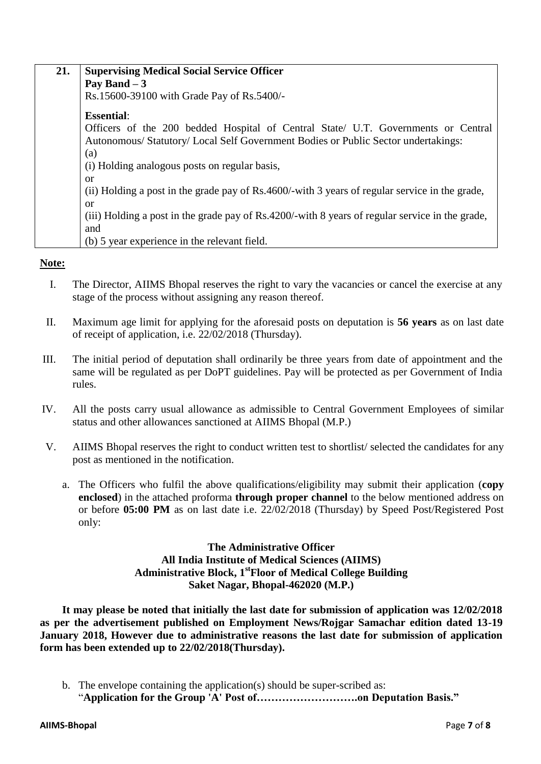| 21. | <b>Supervising Medical Social Service Officer</b>                                               |  |
|-----|-------------------------------------------------------------------------------------------------|--|
|     | Pay Band $-3$                                                                                   |  |
|     | Rs.15600-39100 with Grade Pay of Rs.5400/-                                                      |  |
|     | <b>Essential:</b>                                                                               |  |
|     | Officers of the 200 bedded Hospital of Central State/ U.T. Governments or Central               |  |
|     | Autonomous/Statutory/Local Self Government Bodies or Public Sector undertakings:                |  |
|     | (a)                                                                                             |  |
|     | (i) Holding analogous posts on regular basis,                                                   |  |
|     | or                                                                                              |  |
|     | (ii) Holding a post in the grade pay of Rs.4600/-with 3 years of regular service in the grade,  |  |
|     | or                                                                                              |  |
|     | (iii) Holding a post in the grade pay of Rs.4200/-with 8 years of regular service in the grade, |  |
|     | and                                                                                             |  |
|     | (b) 5 year experience in the relevant field.                                                    |  |

### **Note:**

- I. The Director, AIIMS Bhopal reserves the right to vary the vacancies or cancel the exercise at any stage of the process without assigning any reason thereof.
- II. Maximum age limit for applying for the aforesaid posts on deputation is **56 years** as on last date of receipt of application, i.e. 22/02/2018 (Thursday).
- III. The initial period of deputation shall ordinarily be three years from date of appointment and the same will be regulated as per DoPT guidelines. Pay will be protected as per Government of India rules.
- IV. All the posts carry usual allowance as admissible to Central Government Employees of similar status and other allowances sanctioned at AIIMS Bhopal (M.P.)
- V. AIIMS Bhopal reserves the right to conduct written test to shortlist/ selected the candidates for any post as mentioned in the notification.
	- a. The Officers who fulfil the above qualifications/eligibility may submit their application (**copy enclosed**) in the attached proforma **through proper channel** to the below mentioned address on or before **05:00 PM** as on last date i.e. 22/02/2018 (Thursday) by Speed Post/Registered Post only:

### **The Administrative Officer All India Institute of Medical Sciences (AIIMS) Administrative Block, 1stFloor of Medical College Building Saket Nagar, Bhopal-462020 (M.P.)**

**It may please be noted that initially the last date for submission of application was 12/02/2018 as per the advertisement published on Employment News/Rojgar Samachar edition dated 13-19 January 2018, However due to administrative reasons the last date for submission of application form has been extended up to 22/02/2018(Thursday).** 

b. The envelope containing the application(s) should be super-scribed as: "**Application for the Group 'A' Post of……………………….on Deputation Basis."**